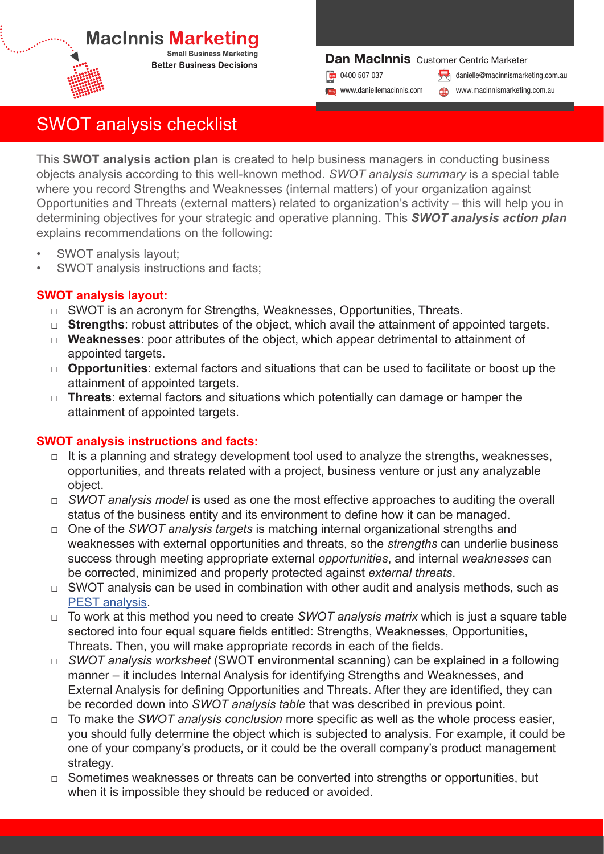### **MacInnis Marketi Small Business Marketing**

**Better Business Decisions** 

### Dan MacInnis Customer Centric Marketer

**Blog** www.daniellemacinnis.com

**Dr** 0400 507 037 **in 19th of 19th of 19th of 19th of 19th of 19th of 19th of 19th of 19th of 19th of 19th of 19th of 19th of 19th of 19th of 19th of 19th of 19th of 19th of 19th of 19th of 19th of 19th of 19th of 19th of** 

www.macinnismarketing.com.au

# SWOT analysis checklist

This **SWOT analysis action plan** is created to help business managers in conducting business objects analysis according to this well-known method. *SWOT analysis summary* is a special table where you record Strengths and Weaknesses (internal matters) of your organization against Opportunities and Threats (external matters) related to organization's activity – this will help you in determining objectives for your strategic and operative planning. This *SWOT analysis action plan* explains recommendations on the following:

- SWOT analysis layout;
- SWOT analysis instructions and facts:

## **SWOT analysis layout:**

- □ SWOT is an acronym for Strengths, Weaknesses, Opportunities, Threats,
- □ **Strengths**: robust attributes of the object, which avail the attainment of appointed targets.
- □ **Weaknesses**: poor attributes of the object, which appear detrimental to attainment of appointed targets.
- □ **Opportunities**: external factors and situations that can be used to facilitate or boost up the attainment of appointed targets.
- □ **Threats**: external factors and situations which potentially can damage or hamper the attainment of appointed targets.

### **SWOT analysis instructions and facts:**

- $\Box$  It is a planning and strategy development tool used to analyze the strengths, weaknesses, opportunities, and threats related with a project, business venture or just any analyzable object.
- □ *SWOT analysis model* is used as one the most effective approaches to auditing the overall status of the business entity and its environment to define how it can be managed.
- □ One of the *SWOT analysis targets* is matching internal organizational strengths and weaknesses with external opportunities and threats, so the *strengths* can underlie business success through meeting appropriate external *opportunities*, and internal *weaknesses* can be corrected, minimized and properly protected against *external threats*.
- $\Box$  SWOT analysis can be used in combination with other audit and analysis methods, such as PEST analysis.
- □ To work at this method you need to create *SWOT analysis matrix* which is just a square table sectored into four equal square fields entitled: Strengths, Weaknesses, Opportunities, Threats. Then, you will make appropriate records in each of the fields.
- □ *SWOT analysis worksheet* (SWOT environmental scanning) can be explained in a following manner – it includes Internal Analysis for identifying Strengths and Weaknesses, and External Analysis for defining Opportunities and Threats. After they are identified, they can be recorded down into *SWOT analysis table* that was described in previous point.
- □ To make the *SWOT analysis conclusion* more specific as well as the whole process easier, you should fully determine the object which is subjected to analysis. For example, it could be one of your company's products, or it could be the overall company's product management strategy.
- $\Box$  Sometimes weaknesses or threats can be converted into strengths or opportunities, but when it is impossible they should be reduced or avoided.